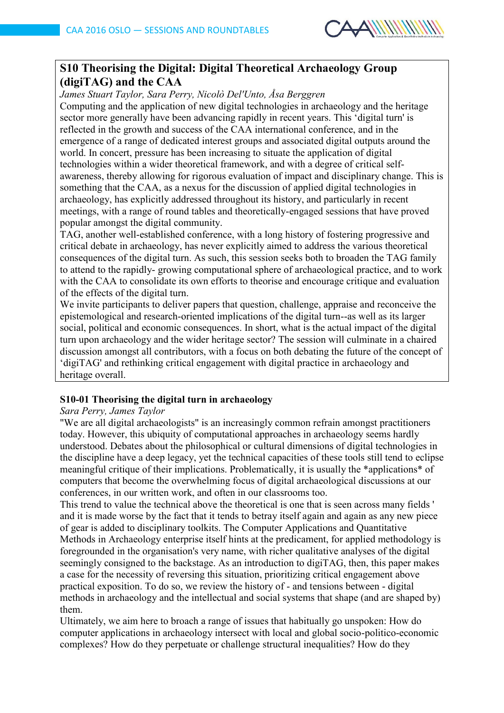

# **S10 Theorising the Digital: Digital Theoretical Archaeology Group (digiTAG) and the CAA**

*James Stuart Taylor, Sara Perry, Nicolò Del'Unto, Åsa Berggren*

Computing and the application of new digital technologies in archaeology and the heritage sector more generally have been advancing rapidly in recent years. This 'digital turn' is reflected in the growth and success of the CAA international conference, and in the emergence of a range of dedicated interest groups and associated digital outputs around the world. In concert, pressure has been increasing to situate the application of digital technologies within a wider theoretical framework, and with a degree of critical selfawareness, thereby allowing for rigorous evaluation of impact and disciplinary change. This is something that the CAA, as a nexus for the discussion of applied digital technologies in archaeology, has explicitly addressed throughout its history, and particularly in recent meetings, with a range of round tables and theoretically-engaged sessions that have proved popular amongst the digital community.

TAG, another well-established conference, with a long history of fostering progressive and critical debate in archaeology, has never explicitly aimed to address the various theoretical consequences of the digital turn. As such, this session seeks both to broaden the TAG family to attend to the rapidly- growing computational sphere of archaeological practice, and to work with the CAA to consolidate its own efforts to theorise and encourage critique and evaluation of the effects of the digital turn.

We invite participants to deliver papers that question, challenge, appraise and reconceive the epistemological and research-oriented implications of the digital turn--as well as its larger social, political and economic consequences. In short, what is the actual impact of the digital turn upon archaeology and the wider heritage sector? The session will culminate in a chaired discussion amongst all contributors, with a focus on both debating the future of the concept of 'digiTAG' and rethinking critical engagement with digital practice in archaeology and heritage overall.

## **S10-01 Theorising the digital turn in archaeology**

## *Sara Perry, James Taylor*

"We are all digital archaeologists" is an increasingly common refrain amongst practitioners today. However, this ubiquity of computational approaches in archaeology seems hardly understood. Debates about the philosophical or cultural dimensions of digital technologies in the discipline have a deep legacy, yet the technical capacities of these tools still tend to eclipse meaningful critique of their implications. Problematically, it is usually the \*applications\* of computers that become the overwhelming focus of digital archaeological discussions at our conferences, in our written work, and often in our classrooms too.

This trend to value the technical above the theoretical is one that is seen across many fields ' and it is made worse by the fact that it tends to betray itself again and again as any new piece of gear is added to disciplinary toolkits. The Computer Applications and Quantitative Methods in Archaeology enterprise itself hints at the predicament, for applied methodology is foregrounded in the organisation's very name, with richer qualitative analyses of the digital seemingly consigned to the backstage. As an introduction to digiTAG, then, this paper makes a case for the necessity of reversing this situation, prioritizing critical engagement above practical exposition. To do so, we review the history of - and tensions between - digital methods in archaeology and the intellectual and social systems that shape (and are shaped by) them.

Ultimately, we aim here to broach a range of issues that habitually go unspoken: How do computer applications in archaeology intersect with local and global socio-politico-economic complexes? How do they perpetuate or challenge structural inequalities? How do they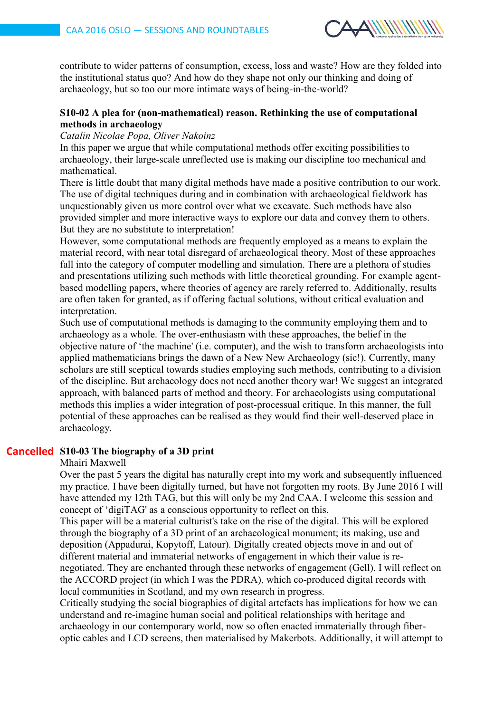

contribute to wider patterns of consumption, excess, loss and waste? How are they folded into the institutional status quo? And how do they shape not only our thinking and doing of archaeology, but so too our more intimate ways of being-in-the-world?

## **S10-02 A plea for (non-mathematical) reason. Rethinking the use of computational methods in archaeology**

## *Catalin Nicolae Popa, Oliver Nakoinz*

In this paper we argue that while computational methods offer exciting possibilities to archaeology, their large-scale unreflected use is making our discipline too mechanical and mathematical.

There is little doubt that many digital methods have made a positive contribution to our work. The use of digital techniques during and in combination with archaeological fieldwork has unquestionably given us more control over what we excavate. Such methods have also provided simpler and more interactive ways to explore our data and convey them to others. But they are no substitute to interpretation!

However, some computational methods are frequently employed as a means to explain the material record, with near total disregard of archaeological theory. Most of these approaches fall into the category of computer modelling and simulation. There are a plethora of studies and presentations utilizing such methods with little theoretical grounding. For example agentbased modelling papers, where theories of agency are rarely referred to. Additionally, results are often taken for granted, as if offering factual solutions, without critical evaluation and interpretation.

Such use of computational methods is damaging to the community employing them and to archaeology as a whole. The over-enthusiasm with these approaches, the belief in the objective nature of 'the machine' (i.e. computer), and the wish to transform archaeologists into applied mathematicians brings the dawn of a New New Archaeology (sic!). Currently, many scholars are still sceptical towards studies employing such methods, contributing to a division of the discipline. But archaeology does not need another theory war! We suggest an integrated approach, with balanced parts of method and theory. For archaeologists using computational methods this implies a wider integration of post-processual critique. In this manner, the full potential of these approaches can be realised as they would find their well-deserved place in archaeology.

## **S10-03 The biography of a 3D print Cancelled**

#### Mhairi Maxwell

Over the past 5 years the digital has naturally crept into my work and subsequently influenced my practice. I have been digitally turned, but have not forgotten my roots. By June 2016 I will have attended my 12th TAG, but this will only be my 2nd CAA. I welcome this session and concept of 'digiTAG' as a conscious opportunity to reflect on this.

This paper will be a material culturist's take on the rise of the digital. This will be explored through the biography of a 3D print of an archaeological monument; its making, use and deposition (Appadurai, Kopytoff, Latour). Digitally created objects move in and out of different material and immaterial networks of engagement in which their value is renegotiated. They are enchanted through these networks of engagement (Gell). I will reflect on the ACCORD project (in which I was the PDRA), which co-produced digital records with local communities in Scotland, and my own research in progress.

Critically studying the social biographies of digital artefacts has implications for how we can understand and re-imagine human social and political relationships with heritage and archaeology in our contemporary world, now so often enacted immaterially through fiberoptic cables and LCD screens, then materialised by Makerbots. Additionally, it will attempt to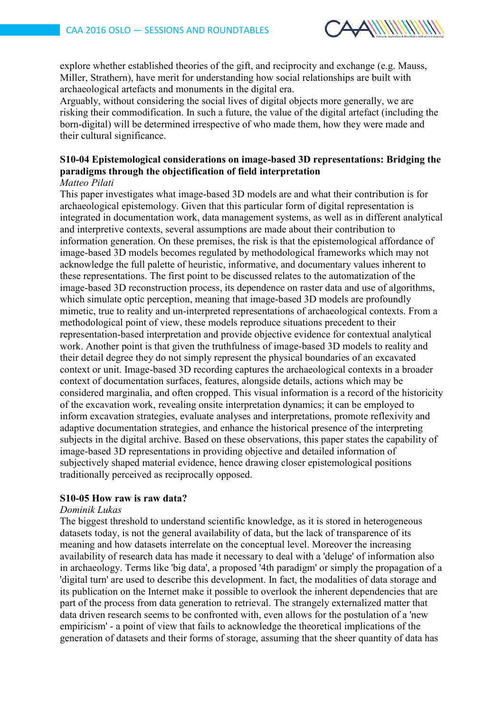

explore whether established theories of the gift, and reciprocity and exchange (e.g. Mauss, Miller, Strathern), have merit for understanding how social relationships are built with archaeological artefacts and monuments in the digital era.

Arguably, without considering the social lives of digital objects more generally, we are risking their commodification. In such a future, the value of the digital artefact (including the born-digital) will be determined irrespective of who made them, how they were made and their cultural significance.

#### **S10-04 Epistemological considerations on image-based 3D representations: Bridging the paradigms through the objectification of field interpretation** *Matteo Pilati*

## This paper investigates what image-based 3D models are and what their contribution is for archaeological epistemology. Given that this particular form of digital representation is integrated in documentation work, data management systems, as well as in different analytical and interpretive contexts, several assumptions are made about their contribution to information generation. On these premises, the risk is that the epistemological affordance of image-based 3D models becomes regulated by methodological frameworks which may not acknowledge the full palette of heuristic, informative, and documentary values inherent to these representations. The first point to be discussed relates to the automatization of the image-based 3D reconstruction process, its dependence on raster data and use of algorithms, which simulate optic perception, meaning that image-based 3D models are profoundly mimetic, true to reality and un-interpreted representations of archaeological contexts. From a methodological point of view, these models reproduce situations precedent to their representation-based interpretation and provide objective evidence for contextual analytical work. Another point is that given the truthfulness of image-based 3D models to reality and their detail degree they do not simply represent the physical boundaries of an excavated context or unit. Image-based 3D recording captures the archaeological contexts in a broader context of documentation surfaces, features, alongside details, actions which may be considered marginalia, and often cropped. This visual information is a record of the historicity of the excavation work, revealing onsite interpretation dynamics; it can be employed to inform excavation strategies, evaluate analyses and interpretations, promote reflexivity and adaptive documentation strategies, and enhance the historical presence of the interpreting subjects in the digital archive. Based on these observations, this paper states the capability of image-based 3D representations in providing objective and detailed information of subjectively shaped material evidence, hence drawing closer epistemological positions traditionally perceived as reciprocally opposed.

#### **S10-05 How raw is raw data?**

#### *Dominik Lukas*

The biggest threshold to understand scientific knowledge, as it is stored in heterogeneous datasets today, is not the general availability of data, but the lack of transparence of its meaning and how datasets interrelate on the conceptual level. Moreover the increasing availability of research data has made it necessary to deal with a 'deluge' of information also in archaeology. Terms like 'big data', a proposed '4th paradigm' or simply the propagation of a 'digital turn' are used to describe this development. In fact, the modalities of data storage and its publication on the Internet make it possible to overlook the inherent dependencies that are part of the process from data generation to retrieval. The strangely externalized matter that data driven research seems to be confronted with, even allows for the postulation of a 'new empiricism' - a point of view that fails to acknowledge the theoretical implications of the generation of datasets and their forms of storage, assuming that the sheer quantity of data has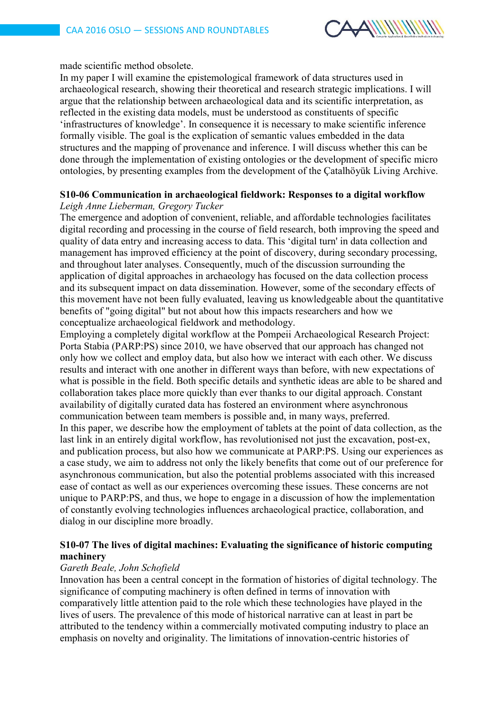

#### made scientific method obsolete.

In my paper I will examine the epistemological framework of data structures used in archaeological research, showing their theoretical and research strategic implications. I will argue that the relationship between archaeological data and its scientific interpretation, as reflected in the existing data models, must be understood as constituents of specific 'infrastructures of knowledge'. In consequence it is necessary to make scientific inference formally visible. The goal is the explication of semantic values embedded in the data structures and the mapping of provenance and inference. I will discuss whether this can be done through the implementation of existing ontologies or the development of specific micro ontologies, by presenting examples from the development of the Çatalhöyük Living Archive.

#### **S10-06 Communication in archaeological fieldwork: Responses to a digital workflow** *Leigh Anne Lieberman, Gregory Tucker*

The emergence and adoption of convenient, reliable, and affordable technologies facilitates digital recording and processing in the course of field research, both improving the speed and quality of data entry and increasing access to data. This 'digital turn' in data collection and management has improved efficiency at the point of discovery, during secondary processing, and throughout later analyses. Consequently, much of the discussion surrounding the application of digital approaches in archaeology has focused on the data collection process and its subsequent impact on data dissemination. However, some of the secondary effects of this movement have not been fully evaluated, leaving us knowledgeable about the quantitative benefits of "going digital" but not about how this impacts researchers and how we conceptualize archaeological fieldwork and methodology.

Employing a completely digital workflow at the Pompeii Archaeological Research Project: Porta Stabia (PARP:PS) since 2010, we have observed that our approach has changed not only how we collect and employ data, but also how we interact with each other. We discuss results and interact with one another in different ways than before, with new expectations of what is possible in the field. Both specific details and synthetic ideas are able to be shared and collaboration takes place more quickly than ever thanks to our digital approach. Constant availability of digitally curated data has fostered an environment where asynchronous communication between team members is possible and, in many ways, preferred. In this paper, we describe how the employment of tablets at the point of data collection, as the last link in an entirely digital workflow, has revolutionised not just the excavation, post-ex, and publication process, but also how we communicate at PARP:PS. Using our experiences as a case study, we aim to address not only the likely benefits that come out of our preference for asynchronous communication, but also the potential problems associated with this increased ease of contact as well as our experiences overcoming these issues. These concerns are not unique to PARP:PS, and thus, we hope to engage in a discussion of how the implementation of constantly evolving technologies influences archaeological practice, collaboration, and dialog in our discipline more broadly.

## **S10-07 The lives of digital machines: Evaluating the significance of historic computing machinery**

## *Gareth Beale, John Schofield*

Innovation has been a central concept in the formation of histories of digital technology. The significance of computing machinery is often defined in terms of innovation with comparatively little attention paid to the role which these technologies have played in the lives of users. The prevalence of this mode of historical narrative can at least in part be attributed to the tendency within a commercially motivated computing industry to place an emphasis on novelty and originality. The limitations of innovation-centric histories of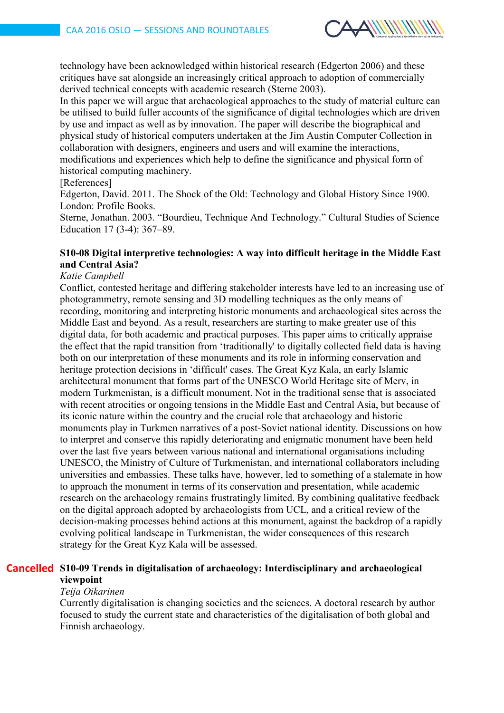

technology have been acknowledged within historical research (Edgerton 2006) and these critiques have sat alongside an increasingly critical approach to adoption of commercially derived technical concepts with academic research (Sterne 2003).

In this paper we will argue that archaeological approaches to the study of material culture can be utilised to build fuller accounts of the significance of digital technologies which are driven by use and impact as well as by innovation. The paper will describe the biographical and physical study of historical computers undertaken at the Jim Austin Computer Collection in collaboration with designers, engineers and users and will examine the interactions, modifications and experiences which help to define the significance and physical form of historical computing machinery.

#### [References]

Edgerton, David. 2011. The Shock of the Old: Technology and Global History Since 1900. London: Profile Books.

Sterne, Jonathan. 2003. "Bourdieu, Technique And Technology." Cultural Studies of Science Education 17 (3-4): 367–89.

## **S10-08 Digital interpretive technologies: A way into difficult heritage in the Middle East and Central Asia?**

#### *Katie Campbell*

Conflict, contested heritage and differing stakeholder interests have led to an increasing use of photogrammetry, remote sensing and 3D modelling techniques as the only means of recording, monitoring and interpreting historic monuments and archaeological sites across the Middle East and beyond. As a result, researchers are starting to make greater use of this digital data, for both academic and practical purposes. This paper aims to critically appraise the effect that the rapid transition from 'traditionally' to digitally collected field data is having both on our interpretation of these monuments and its role in informing conservation and heritage protection decisions in 'difficult' cases. The Great Kyz Kala, an early Islamic architectural monument that forms part of the UNESCO World Heritage site of Merv, in modern Turkmenistan, is a difficult monument. Not in the traditional sense that is associated with recent atrocities or ongoing tensions in the Middle East and Central Asia, but because of its iconic nature within the country and the crucial role that archaeology and historic monuments play in Turkmen narratives of a post-Soviet national identity. Discussions on how to interpret and conserve this rapidly deteriorating and enigmatic monument have been held over the last five years between various national and international organisations including UNESCO, the Ministry of Culture of Turkmenistan, and international collaborators including universities and embassies. These talks have, however, led to something of a stalemate in how to approach the monument in terms of its conservation and presentation, while academic research on the archaeology remains frustratingly limited. By combining qualitative feedback on the digital approach adopted by archaeologists from UCL, and a critical review of the decision-making processes behind actions at this monument, against the backdrop of a rapidly evolving political landscape in Turkmenistan, the wider consequences of this research strategy for the Great Kyz Kala will be assessed.

## **S10-09 Trends in digitalisation of archaeology: Interdisciplinary and archaeological Cancelledviewpoint**

## *Teija Oikarinen*

Currently digitalisation is changing societies and the sciences. A doctoral research by author focused to study the current state and characteristics of the digitalisation of both global and Finnish archaeology.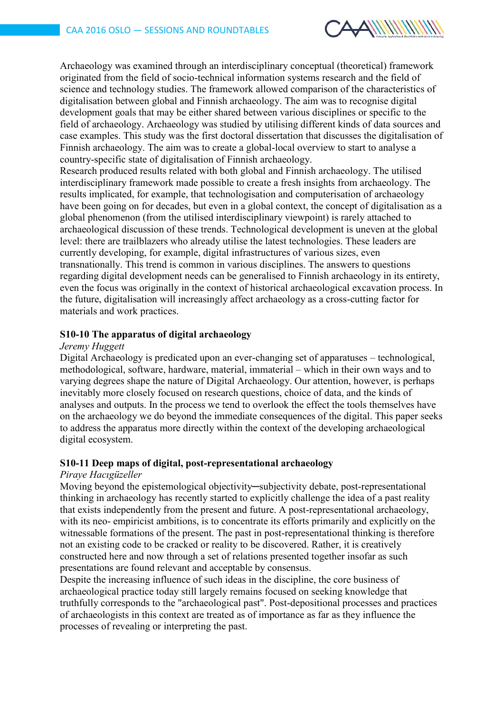

Archaeology was examined through an interdisciplinary conceptual (theoretical) framework originated from the field of socio-technical information systems research and the field of science and technology studies. The framework allowed comparison of the characteristics of digitalisation between global and Finnish archaeology. The aim was to recognise digital development goals that may be either shared between various disciplines or specific to the field of archaeology. Archaeology was studied by utilising different kinds of data sources and case examples. This study was the first doctoral dissertation that discusses the digitalisation of Finnish archaeology. The aim was to create a global-local overview to start to analyse a country-specific state of digitalisation of Finnish archaeology.

Research produced results related with both global and Finnish archaeology. The utilised interdisciplinary framework made possible to create a fresh insights from archaeology. The results implicated, for example, that technologisation and computerisation of archaeology have been going on for decades, but even in a global context, the concept of digitalisation as a global phenomenon (from the utilised interdisciplinary viewpoint) is rarely attached to archaeological discussion of these trends. Technological development is uneven at the global level: there are trailblazers who already utilise the latest technologies. These leaders are currently developing, for example, digital infrastructures of various sizes, even transnationally. This trend is common in various disciplines. The answers to questions regarding digital development needs can be generalised to Finnish archaeology in its entirety, even the focus was originally in the context of historical archaeological excavation process. In the future, digitalisation will increasingly affect archaeology as a cross-cutting factor for materials and work practices.

## **S10-10 The apparatus of digital archaeology**

#### *Jeremy Huggett*

Digital Archaeology is predicated upon an ever-changing set of apparatuses – technological, methodological, software, hardware, material, immaterial – which in their own ways and to varying degrees shape the nature of Digital Archaeology. Our attention, however, is perhaps inevitably more closely focused on research questions, choice of data, and the kinds of analyses and outputs. In the process we tend to overlook the effect the tools themselves have on the archaeology we do beyond the immediate consequences of the digital. This paper seeks to address the apparatus more directly within the context of the developing archaeological digital ecosystem.

## **S10-11 Deep maps of digital, post-representational archaeology**

#### *Piraye Hacıgüzeller*

Moving beyond the epistemological objectivity—subjectivity debate, post-representational thinking in archaeology has recently started to explicitly challenge the idea of a past reality that exists independently from the present and future. A post-representational archaeology, with its neo- empiricist ambitions, is to concentrate its efforts primarily and explicitly on the witnessable formations of the present. The past in post-representational thinking is therefore not an existing code to be cracked or reality to be discovered. Rather, it is creatively constructed here and now through a set of relations presented together insofar as such presentations are found relevant and acceptable by consensus.

Despite the increasing influence of such ideas in the discipline, the core business of archaeological practice today still largely remains focused on seeking knowledge that truthfully corresponds to the "archaeological past". Post-depositional processes and practices of archaeologists in this context are treated as of importance as far as they influence the processes of revealing or interpreting the past.